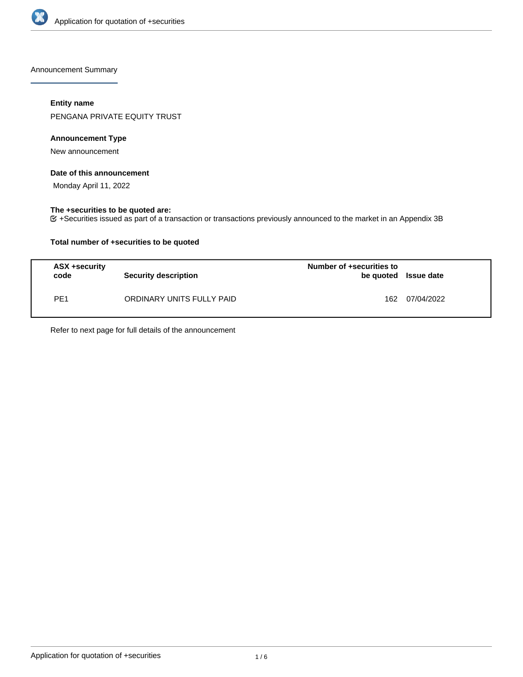

Announcement Summary

### **Entity name**

PENGANA PRIVATE EQUITY TRUST

### **Announcement Type**

New announcement

#### **Date of this announcement**

Monday April 11, 2022

### **The +securities to be quoted are:**

+Securities issued as part of a transaction or transactions previously announced to the market in an Appendix 3B

### **Total number of +securities to be quoted**

| <b>ASX +security</b><br>code | <b>Security description</b> | Number of +securities to<br>be quoted Issue date |            |
|------------------------------|-----------------------------|--------------------------------------------------|------------|
| PE1                          | ORDINARY UNITS FULLY PAID   | 162                                              | 07/04/2022 |

Refer to next page for full details of the announcement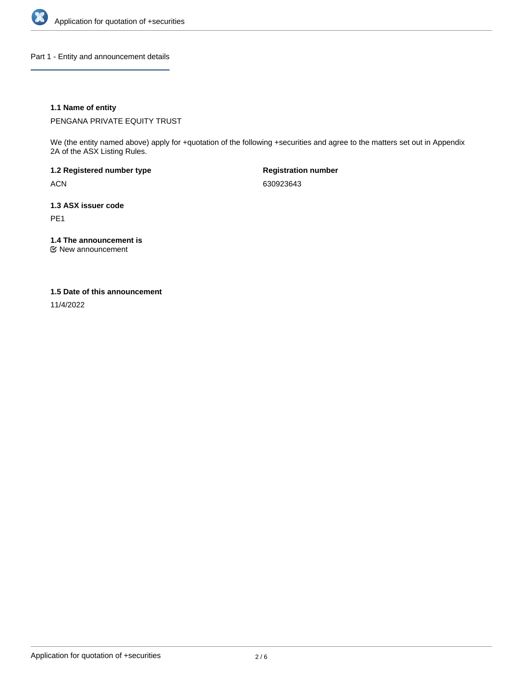

Part 1 - Entity and announcement details

### **1.1 Name of entity**

PENGANA PRIVATE EQUITY TRUST

We (the entity named above) apply for +quotation of the following +securities and agree to the matters set out in Appendix 2A of the ASX Listing Rules.

**1.2 Registered number type** ACN

**Registration number** 630923643

**1.3 ASX issuer code** PE1

**1.4 The announcement is**

New announcement

#### **1.5 Date of this announcement**

11/4/2022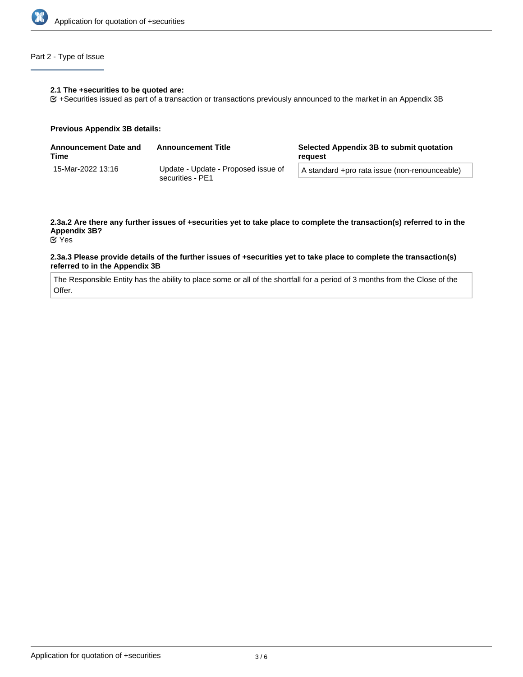

### Part 2 - Type of Issue

#### **2.1 The +securities to be quoted are:**

+Securities issued as part of a transaction or transactions previously announced to the market in an Appendix 3B

#### **Previous Appendix 3B details:**

| <b>Announcement Date and</b><br>Time | <b>Announcement Title</b>                               | Selected Appendix 3B to submit quotation<br>reauest |  |
|--------------------------------------|---------------------------------------------------------|-----------------------------------------------------|--|
| 15-Mar-2022 13:16                    | Update - Update - Proposed issue of<br>securities - PE1 | A standard +pro rata issue (non-renounceable)       |  |

# **2.3a.2 Are there any further issues of +securities yet to take place to complete the transaction(s) referred to in the Appendix 3B?**

Yes

#### **2.3a.3 Please provide details of the further issues of +securities yet to take place to complete the transaction(s) referred to in the Appendix 3B**

The Responsible Entity has the ability to place some or all of the shortfall for a period of 3 months from the Close of the Offer.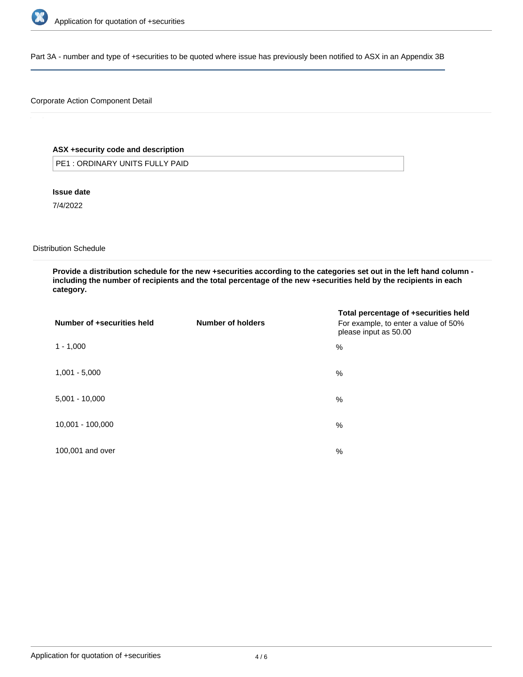

Part 3A - number and type of +securities to be quoted where issue has previously been notified to ASX in an Appendix 3B

### Corporate Action Component Detail

### **ASX +security code and description**

PE1 : ORDINARY UNITS FULLY PAID

#### **Issue date**

7/4/2022

#### Distribution Schedule

**Provide a distribution schedule for the new +securities according to the categories set out in the left hand column including the number of recipients and the total percentage of the new +securities held by the recipients in each category.**

| Number of +securities held | Number of holders | Total percentage of +securities held<br>For example, to enter a value of 50%<br>please input as 50.00 |
|----------------------------|-------------------|-------------------------------------------------------------------------------------------------------|
| $1 - 1,000$                |                   | %                                                                                                     |
| $1,001 - 5,000$            |                   | %                                                                                                     |
| $5,001 - 10,000$           |                   | %                                                                                                     |
| 10,001 - 100,000           |                   | %                                                                                                     |
| 100,001 and over           |                   | $\%$                                                                                                  |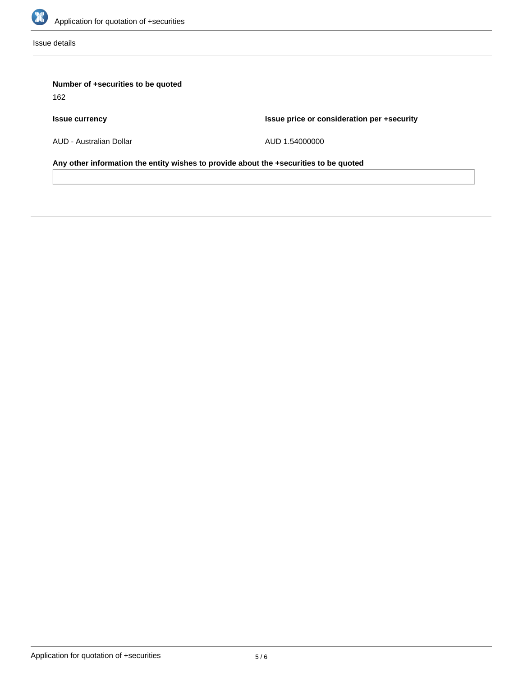

Issue details

## **Number of +securities to be quoted**

162

## **Issue currency**

**Issue price or consideration per +security**

AUD - Australian Dollar

AUD 1.54000000

**Any other information the entity wishes to provide about the +securities to be quoted**